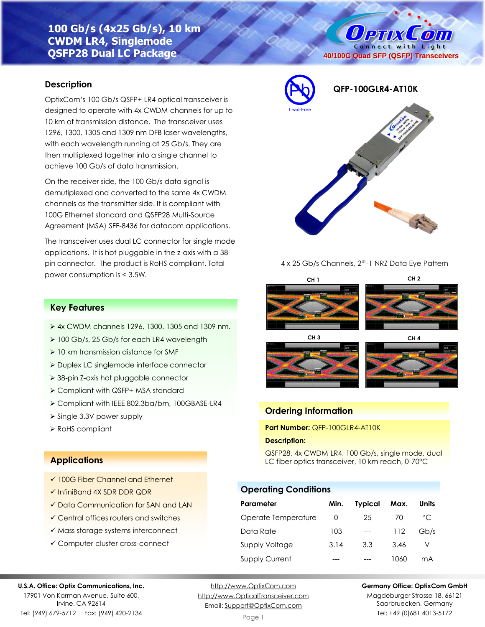# **100 Gb/s (4x25 Gb/s), 10 km CWDM LR4, Singlemode QSFP28 Dual LC Package**

## **Description**

OptixCom's 100 Gb/s QSFP+ LR4 optical transceiver is designed to operate with 4x CWDM channels for up to 10 km of transmission distance. The transceiver uses 1296, 1300, 1305 and 1309 nm DFB laser wavelengths, with each wavelength running at 25 Gb/s. They are then multiplexed together into a single channel to achieve 100 Gb/s of data transmission.

On the receiver side, the 100 Gb/s data signal is demutiplexed and converted to the same 4x CWDM channels as the transmitter side. It is compliant with 100G Ethernet standard and QSFP28 Multi-Source Agreement (MSA) SFF-8436 for datacom applications.

The transceiver uses dual LC connector for single mode applications. It is hot pluggable in the z-axis with a 38 pin connector. The product is RoHS compliant. Total power consumption is < 3.5W.



**40/100G Quad SFP (QSFP) Transceivers**

O PTIX COUT Connect with Light

## 4 x 25 Gb/s Channels, 2<sup>31</sup>-1 NRZ Data Eye Pattern







## **Ordering Information**

**Part Number:** QFP-100GLR4-AT10K

### **Description:**

QSFP28, 4x CWDM LR4, 100 Gb/s, single mode, dual LC fiber optics transceiver, 10 km reach, 0-70°C

## **Operating Conditions**

| Parameter             | Min.     | <b>Typical</b> | Max. | Units        |
|-----------------------|----------|----------------|------|--------------|
| Operate Temperature   | $\Omega$ | 25             | 70   | $^{\circ}$ C |
| Data Rate             | 103      | $---$          | 112  | Gb/s         |
| Supply Voltage        | 3.14     | 3.3            | 3.46 |              |
| <b>Supply Current</b> |          |                | 1060 | mA           |

### **Key Features**

- ➢ 4x CWDM channels 1296, 1300, 1305 and 1309 nm.
- ➢ 100 Gb/s, 25 Gb/s for each LR4 wavelength
- ➢ 10 km transmission distance for SMF
- ➢ Duplex LC singlemode interface connector
- ➢ 38-pin Z-axis hot pluggable connector
- ➢ Compliant with QSFP+ MSA standard
- ➢ Compliant with IEEE 802.3ba/bm, 100GBASE-LR4
- ➢ Single 3.3V power supply
- ➢ RoHS compliant

### **Applications**

- ✓ 100G Fiber Channel and Ethernet
- ✓ InfiniBand 4X SDR DDR QDR
- ✓ Data Communication for SAN and LAN
- ✓ Central offices routers and switches
- ✓ Mass storage systems interconnect
- ✓ Computer cluster cross-connect

#### **U.S.A. Office: Optix Communications, Inc.**

17901 Von Karman Avenue, Suite 600, Irvine, CA 92614 Tel: (949) 679-5712 Fax: (949) 420-2134

[http://www.OptixCom.com](http://www.optixcom.com/) [http://www.OpticalTransceiver.com](http://www.optoictech.com/) Email: [Support@OptixCom.com](mailto:Support@optoICtech.com)

#### **Germany Office: OptixCom GmbH**

Magdeburger Strasse 18, 66121 Saarbruecken, Germany Tel: +49 (0)681 4013-5172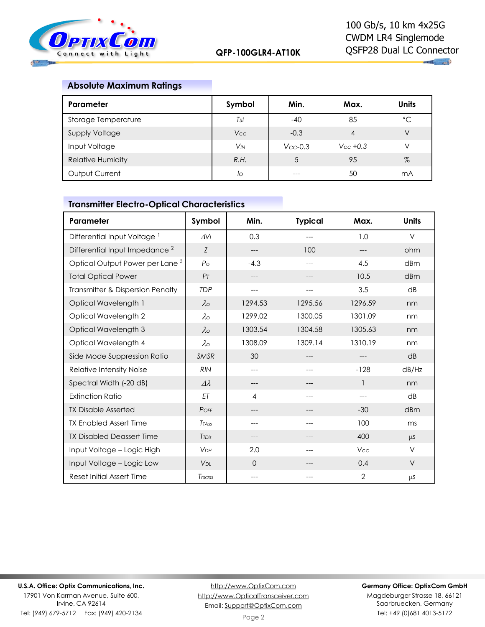

**THE CALL** 

# **Absolute Maximum Ratings**

| Parameter                | Symbol     | Min.          | Max.          | <b>Units</b> |
|--------------------------|------------|---------------|---------------|--------------|
| Storage Temperature      | Tst        | $-40$         | 85            | °С           |
| <b>Supply Voltage</b>    | <b>Vcc</b> | $-0.3$        | 4             | V            |
| Input Voltage            | $V_{IN}$   | $V_{CC}$ -0.3 | $V_{CC}$ +0.3 | V            |
| <b>Relative Humidity</b> | R.H.       |               | 95            | %            |
| Output Current           | lo         |               | 50            | mA           |

# **Transmitter Electro-Optical Characteristics**

| Parameter                                   | Symbol             | Min.     | <b>Typical</b> | Max.    | <b>Units</b> |
|---------------------------------------------|--------------------|----------|----------------|---------|--------------|
| Differential Input Voltage <sup>1</sup>     | $\Delta V$ i       | 0.3      | ---            | 1.0     | $\vee$       |
| Differential Input Impedance <sup>2</sup>   | Z                  | ---      | 100            |         | ohm          |
| Optical Output Power per Lane <sup>3</sup>  | $P_{\Omega}$       | $-4.3$   | ---            | 4.5     | dBm          |
| <b>Total Optical Power</b>                  | P <sub>T</sub>     | ---      | ---            | 10.5    | dBm          |
| <b>Transmitter &amp; Dispersion Penalty</b> | <b>TDP</b>         | ---      | ---            | 3.5     | dB           |
| Optical Wavelength 1                        | $\lambda \circ$    | 1294.53  | 1295.56        | 1296.59 | nm           |
| Optical Wavelength 2                        | $\lambda \circ$    | 1299.02  | 1300.05        | 1301.09 | nm           |
| Optical Wavelength 3                        | $\lambda$          | 1303.54  | 1304.58        | 1305.63 | nm           |
| Optical Wavelength 4                        | $\lambda \circ$    | 1308.09  | 1309.14        | 1310.19 | nm           |
| Side Mode Suppression Ratio                 | SMSR               | 30       | ---            | ---     | dB           |
| <b>Relative Intensity Noise</b>             | <b>RIN</b>         | ---      | ---            | $-128$  | dB/Hz        |
| Spectral Width (-20 dB)                     | $\varDelta\lambda$ | ---      |                | 1       | nm           |
| <b>Extinction Ratio</b>                     | ET                 | 4        | ---            | ---     | dB           |
| <b>TX Disable Asserted</b>                  | POFF               | ---      |                | $-30$   | dBm          |
| <b>TX Enabled Assert Time</b>               | <b>TTASS</b>       | ---      |                | 100     | ms           |
| <b>TX Disabled Deassert Time</b>            | <b>T</b> TDis      | ---      | ---            | 400     | $\mu$ S      |
| Input Voltage - Logic High                  | V <sub>DH</sub>    | 2.0      |                | Vcc     | $\vee$       |
| Input Voltage - Logic Low                   | V <sub>DL</sub>    | $\Omega$ |                | 0.4     | $\vee$       |
| Reset Initial Assert Time                   | Trsass             | ---      |                | 2       | μS           |

#### **U.S.A. Office: Optix Communications, Inc.** 17901 Von Karman Avenue, Suite 600,

Irvine, CA 92614 Tel: (949) 679-5712 Fax: (949) 420-2134

[http://www.OptixCom.com](http://www.optixcom.com/) [http://www.OpticalTransceiver.com](http://www.optoictech.com/) Email: [Support@OptixCom.com](mailto:Support@optoICtech.com)

### **Germany Office: OptixCom GmbH**

Magdeburger Strasse 18, 66121 Saarbruecken, Germany Tel: +49 (0)681 4013-5172